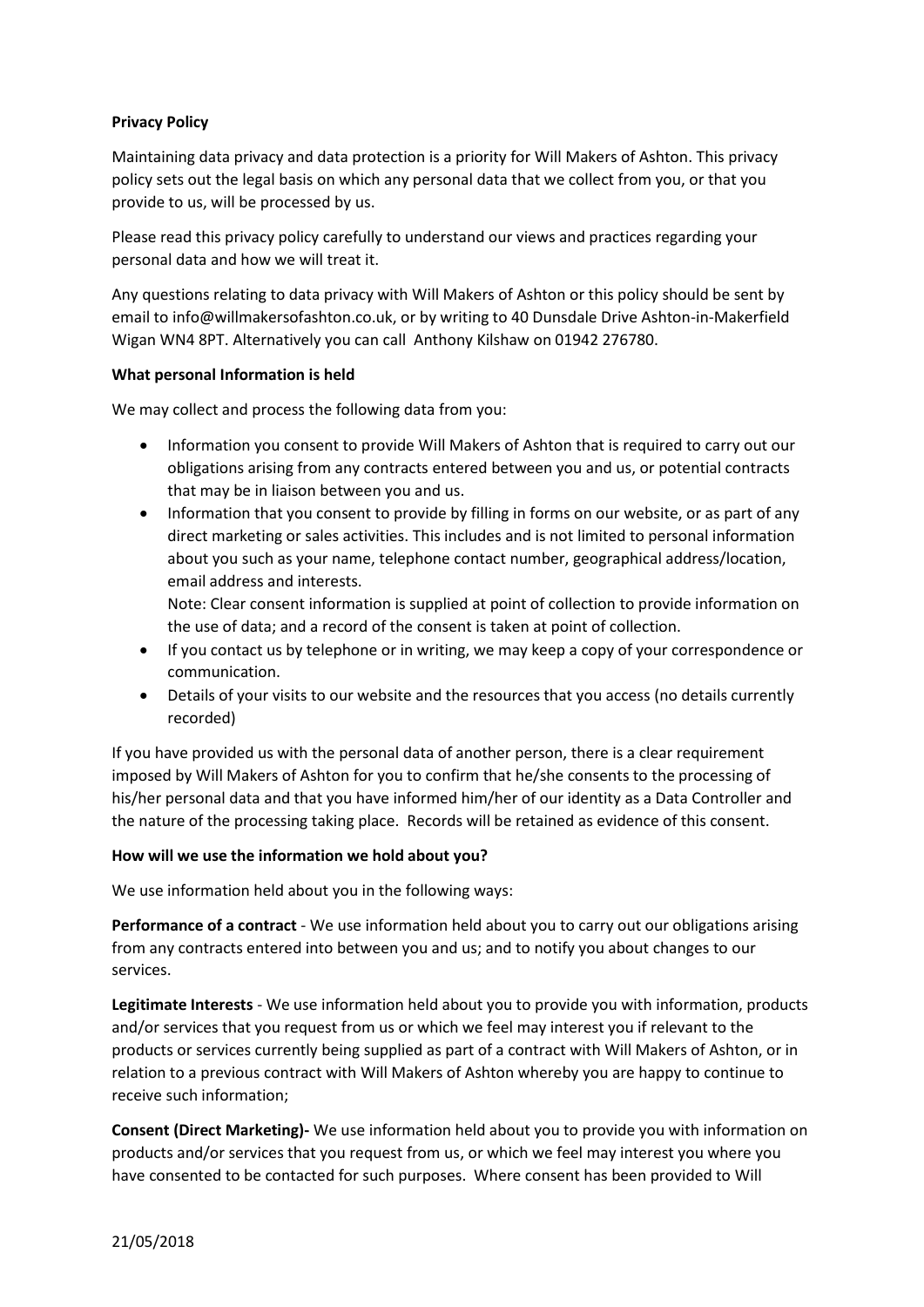## **Privacy Policy**

Maintaining data privacy and data protection is a priority for Will Makers of Ashton. This privacy policy sets out the legal basis on which any personal data that we collect from you, or that you provide to us, will be processed by us.

Please read this privacy policy carefully to understand our views and practices regarding your personal data and how we will treat it.

Any questions relating to data privacy with Will Makers of Ashton or this policy should be sent by email to info@willmakersofashton.co.uk, or by writing to 40 Dunsdale Drive Ashton-in-Makerfield Wigan WN4 8PT. Alternatively you can call Anthony Kilshaw on 01942 276780.

### **What personal Information is held**

We may collect and process the following data from you:

- Information you consent to provide Will Makers of Ashton that is required to carry out our obligations arising from any contracts entered between you and us, or potential contracts that may be in liaison between you and us.
- Information that you consent to provide by filling in forms on our website, or as part of any direct marketing or sales activities. This includes and is not limited to personal information about you such as your name, telephone contact number, geographical address/location, email address and interests.

Note: Clear consent information is supplied at point of collection to provide information on the use of data; and a record of the consent is taken at point of collection.

- If you contact us by telephone or in writing, we may keep a copy of your correspondence or communication.
- Details of your visits to our website and the resources that you access (no details currently recorded)

If you have provided us with the personal data of another person, there is a clear requirement imposed by Will Makers of Ashton for you to confirm that he/she consents to the processing of his/her personal data and that you have informed him/her of our identity as a Data Controller and the nature of the processing taking place. Records will be retained as evidence of this consent.

### **How will we use the information we hold about you?**

We use information held about you in the following ways:

**Performance of a contract** - We use information held about you to carry out our obligations arising from any contracts entered into between you and us; and to notify you about changes to our services.

**Legitimate Interests** - We use information held about you to provide you with information, products and/or services that you request from us or which we feel may interest you if relevant to the products or services currently being supplied as part of a contract with Will Makers of Ashton, or in relation to a previous contract with Will Makers of Ashton whereby you are happy to continue to receive such information;

**Consent (Direct Marketing)-** We use information held about you to provide you with information on products and/or services that you request from us, or which we feel may interest you where you have consented to be contacted for such purposes. Where consent has been provided to Will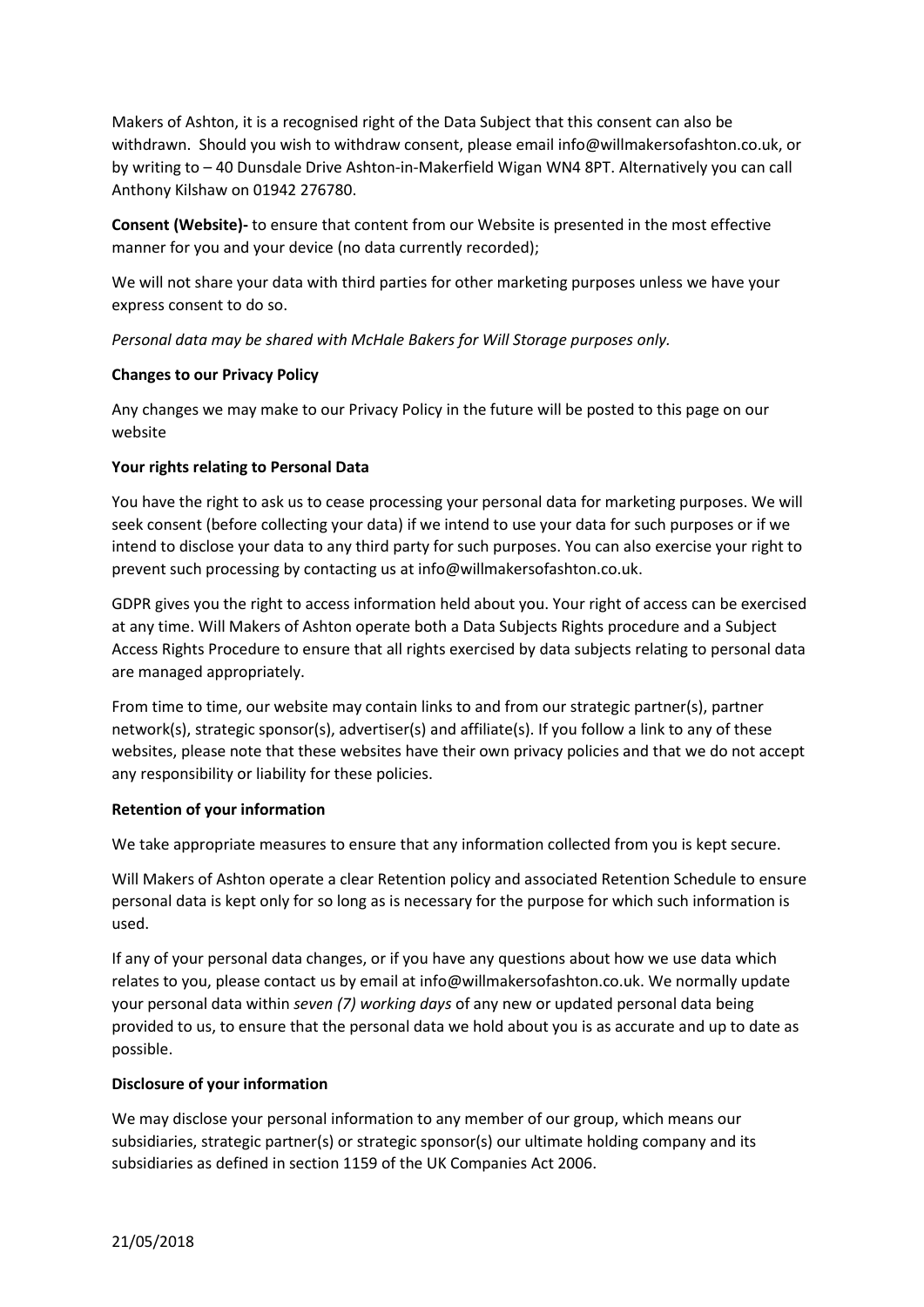Makers of Ashton, it is a recognised right of the Data Subject that this consent can also be withdrawn. Should you wish to withdraw consent, please email info@willmakersofashton.co.uk, or by writing to – 40 Dunsdale Drive Ashton-in-Makerfield Wigan WN4 8PT. Alternatively you can call Anthony Kilshaw on 01942 276780.

**Consent (Website)-** to ensure that content from our Website is presented in the most effective manner for you and your device (no data currently recorded);

We will not share your data with third parties for other marketing purposes unless we have your express consent to do so.

*Personal data may be shared with McHale Bakers for Will Storage purposes only.*

## **Changes to our Privacy Policy**

Any changes we may make to our Privacy Policy in the future will be posted to this page on our website

## **Your rights relating to Personal Data**

You have the right to ask us to cease processing your personal data for marketing purposes. We will seek consent (before collecting your data) if we intend to use your data for such purposes or if we intend to disclose your data to any third party for such purposes. You can also exercise your right to prevent such processing by contacting us at info@willmakersofashton.co.uk.

GDPR gives you the right to access information held about you. Your right of access can be exercised at any time. Will Makers of Ashton operate both a Data Subjects Rights procedure and a Subject Access Rights Procedure to ensure that all rights exercised by data subjects relating to personal data are managed appropriately.

From time to time, our website may contain links to and from our strategic partner(s), partner network(s), strategic sponsor(s), advertiser(s) and affiliate(s). If you follow a link to any of these websites, please note that these websites have their own privacy policies and that we do not accept any responsibility or liability for these policies.

### **Retention of your information**

We take appropriate measures to ensure that any information collected from you is kept secure.

Will Makers of Ashton operate a clear Retention policy and associated Retention Schedule to ensure personal data is kept only for so long as is necessary for the purpose for which such information is used.

If any of your personal data changes, or if you have any questions about how we use data which relates to you, please contact us by email at info@willmakersofashton.co.uk. We normally update your personal data within *seven (7) working days* of any new or updated personal data being provided to us, to ensure that the personal data we hold about you is as accurate and up to date as possible.

# **Disclosure of your information**

We may disclose your personal information to any member of our group, which means our subsidiaries, strategic partner(s) or strategic sponsor(s) our ultimate holding company and its subsidiaries as defined in section 1159 of the UK Companies Act 2006.